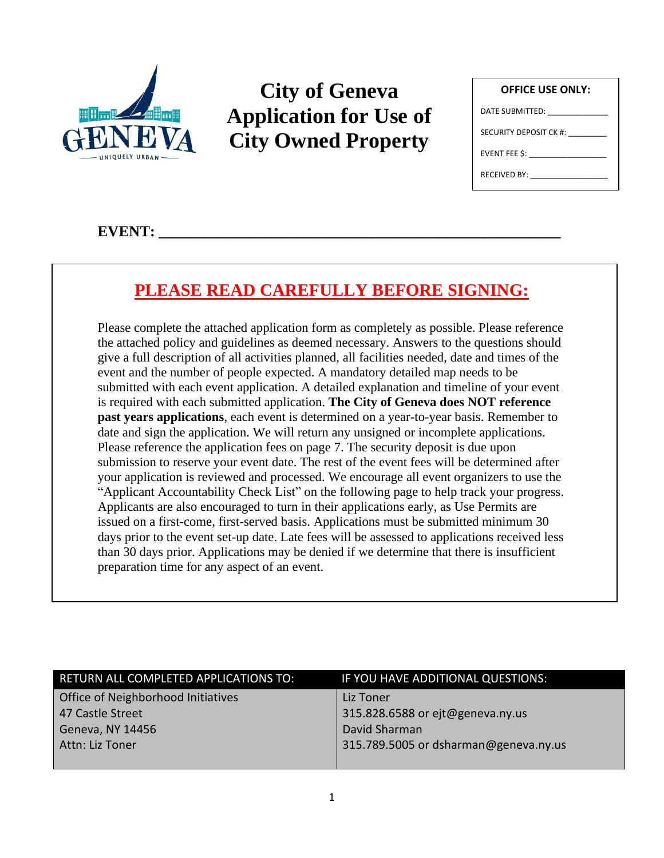

# **City of Geneva Application for Use of City Owned Property**

| <b>OFFICE USE ONLY:</b>         |  |  |
|---------------------------------|--|--|
| DATE SUBMITTED: _______________ |  |  |
| SECURITY DEPOSIT CK #:          |  |  |
| $EVENT$ FEE \$:                 |  |  |
| RECEIVED BY:                    |  |  |
|                                 |  |  |

## $EVENT:$

# **PLEASE READ CAREFULLY BEFORE SIGNING:**

Please complete the attached application form as completely as possible. Please reference the attached policy and guidelines as deemed necessary. Answers to the questions should give a full description of all activities planned, all facilities needed, date and times of the event and the number of people expected. A mandatory detailed map needs to be submitted with each event application. A detailed explanation and timeline of your event is required with each submitted application. **The City of Geneva does NOT reference past years applications**, each event is determined on a year-to-year basis. Remember to date and sign the application. We will return any unsigned or incomplete applications. Please reference the application fees on page 7. The security deposit is due upon submission to reserve your event date. The rest of the event fees will be determined after your application is reviewed and processed. We encourage all event organizers to use the "Applicant Accountability Check List" on the following page to help track your progress. Applicants are also encouraged to turn in their applications early, as Use Permits are issued on a first-come, first-served basis. Applications must be submitted minimum 30 days prior to the event set-up date. Late fees will be assessed to applications received less than 30 days prior. Applications may be denied if we determine that there is insufficient preparation time for any aspect of an event.

| RETURN ALL COMPLETED APPLICATIONS TO: | IF YOU HAVE ADDITIONAL QUESTIONS:     |
|---------------------------------------|---------------------------------------|
| Office of Neighborhood Initiatives    | Liz Toner                             |
| 47 Castle Street                      | 315.828.6588 or ejt@geneva.ny.us      |
| Geneva, NY 14456                      | David Sharman                         |
| Attn: Liz Toner                       | 315.789.5005 or dsharman@geneva.ny.us |
|                                       |                                       |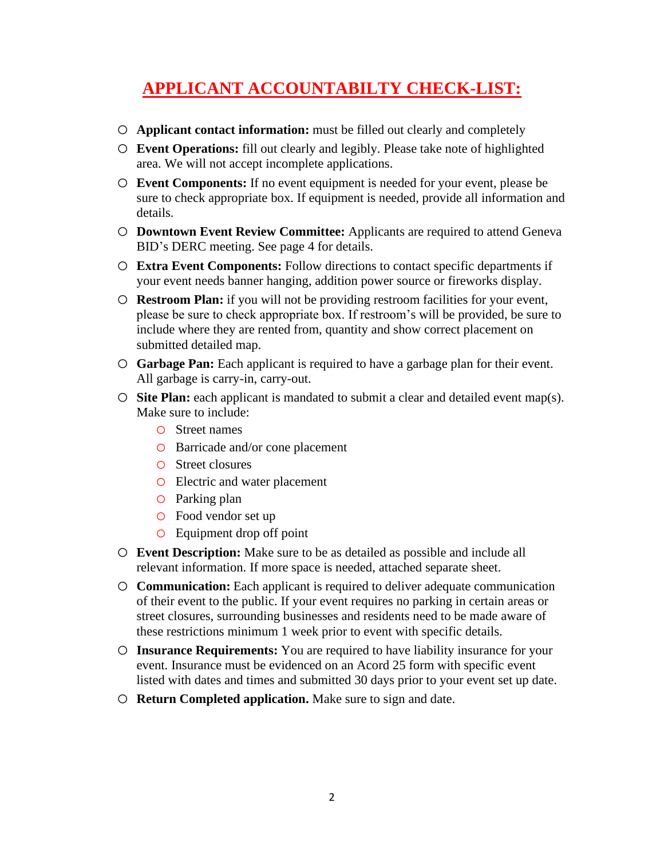# **APPLICANT ACCOUNTABILTY CHECK-LIST:**

- o **Applicant contact information:** must be filled out clearly and completely
- o **Event Operations:** fill out clearly and legibly. Please take note of highlighted area. We will not accept incomplete applications.
- o **Event Components:** If no event equipment is needed for your event, please be sure to check appropriate box. If equipment is needed, provide all information and details.
- o **Downtown Event Review Committee:** Applicants are required to attend Geneva BID's DERC meeting. See page 4 for details.
- o **Extra Event Components:** Follow directions to contact specific departments if your event needs banner hanging, addition power source or fireworks display.
- o **Restroom Plan:** if you will not be providing restroom facilities for your event, please be sure to check appropriate box. If restroom's will be provided, be sure to include where they are rented from, quantity and show correct placement on submitted detailed map.
- o **Garbage Pan:** Each applicant is required to have a garbage plan for their event. All garbage is carry-in, carry-out.
- o **Site Plan:** each applicant is mandated to submit a clear and detailed event map(s). Make sure to include:
	- o Street names
	- o Barricade and/or cone placement
	- o Street closures
	- o Electric and water placement
	- o Parking plan
	- o Food vendor set up
	- o Equipment drop off point
- o **Event Description:** Make sure to be as detailed as possible and include all relevant information. If more space is needed, attached separate sheet.
- o **Communication:** Each applicant is required to deliver adequate communication of their event to the public. If your event requires no parking in certain areas or street closures, surrounding businesses and residents need to be made aware of these restrictions minimum 1 week prior to event with specific details.
- o **Insurance Requirements:** You are required to have liability insurance for your event. Insurance must be evidenced on an Acord 25 form with specific event listed with dates and times and submitted 30 days prior to your event set up date.
- o **Return Completed application.** Make sure to sign and date.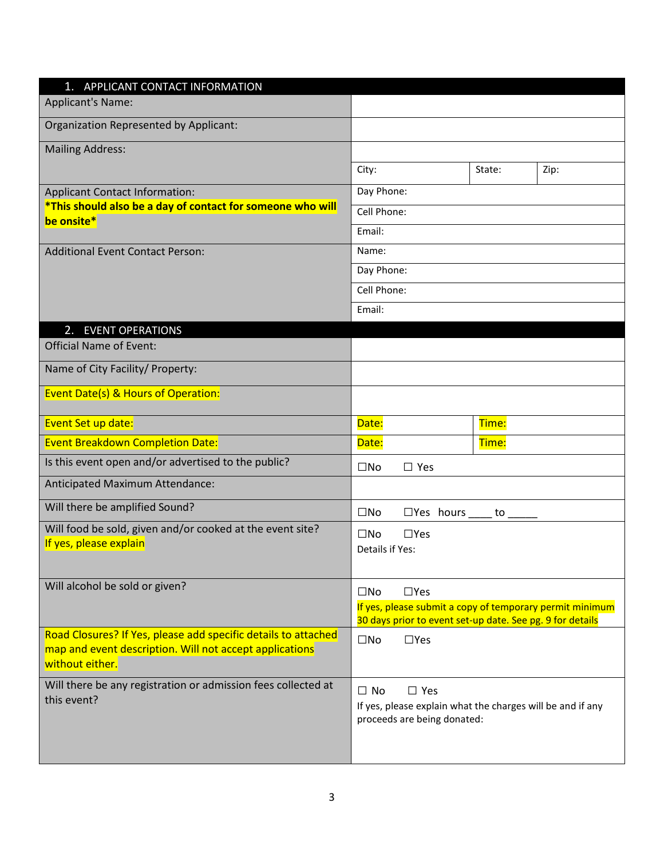| 1. APPLICANT CONTACT INFORMATION                                                    |                                                                                                                       |        |      |
|-------------------------------------------------------------------------------------|-----------------------------------------------------------------------------------------------------------------------|--------|------|
| <b>Applicant's Name:</b>                                                            |                                                                                                                       |        |      |
| Organization Represented by Applicant:                                              |                                                                                                                       |        |      |
| <b>Mailing Address:</b>                                                             |                                                                                                                       |        |      |
|                                                                                     | City:                                                                                                                 | State: | Zip: |
| <b>Applicant Contact Information:</b>                                               | Day Phone:                                                                                                            |        |      |
| *This should also be a day of contact for someone who will<br>be onsite*            | Cell Phone:                                                                                                           |        |      |
|                                                                                     | Email:                                                                                                                |        |      |
| <b>Additional Event Contact Person:</b>                                             | Name:                                                                                                                 |        |      |
|                                                                                     | Day Phone:                                                                                                            |        |      |
|                                                                                     | Cell Phone:                                                                                                           |        |      |
|                                                                                     | Email:                                                                                                                |        |      |
| 2.<br><b>EVENT OPERATIONS</b>                                                       |                                                                                                                       |        |      |
| <b>Official Name of Event:</b>                                                      |                                                                                                                       |        |      |
| Name of City Facility/ Property:                                                    |                                                                                                                       |        |      |
| <b>Event Date(s) &amp; Hours of Operation:</b>                                      |                                                                                                                       |        |      |
| Event Set up date:                                                                  | Date:                                                                                                                 | Time:  |      |
| <b>Event Breakdown Completion Date:</b>                                             | Date:                                                                                                                 | Time:  |      |
| Is this event open and/or advertised to the public?                                 | $\square$ No<br>$\Box$ Yes                                                                                            |        |      |
| Anticipated Maximum Attendance:                                                     |                                                                                                                       |        |      |
| Will there be amplified Sound?                                                      | $\square$ No<br>$\Box$ Yes hours _____ to _____                                                                       |        |      |
| Will food be sold, given and/or cooked at the event site?<br>If yes, please explain | $\square$ No<br>$\Box$ Yes                                                                                            |        |      |
|                                                                                     | Details if Yes:                                                                                                       |        |      |
| Will alcohol be sold or given?                                                      |                                                                                                                       |        |      |
|                                                                                     | $\Box$ Yes<br>$\square$ No                                                                                            |        |      |
|                                                                                     | If yes, please submit a copy of temporary permit minimum<br>30 days prior to event set-up date. See pg. 9 for details |        |      |
| Road Closures? If Yes, please add specific details to attached                      | $\square$ No<br>$\Box$ Yes                                                                                            |        |      |
| map and event description. Will not accept applications<br>without either.          |                                                                                                                       |        |      |
| Will there be any registration or admission fees collected at                       | $\Box$ Yes<br>$\Box$ No                                                                                               |        |      |
| this event?                                                                         | If yes, please explain what the charges will be and if any                                                            |        |      |
|                                                                                     | proceeds are being donated:                                                                                           |        |      |
|                                                                                     |                                                                                                                       |        |      |
|                                                                                     |                                                                                                                       |        |      |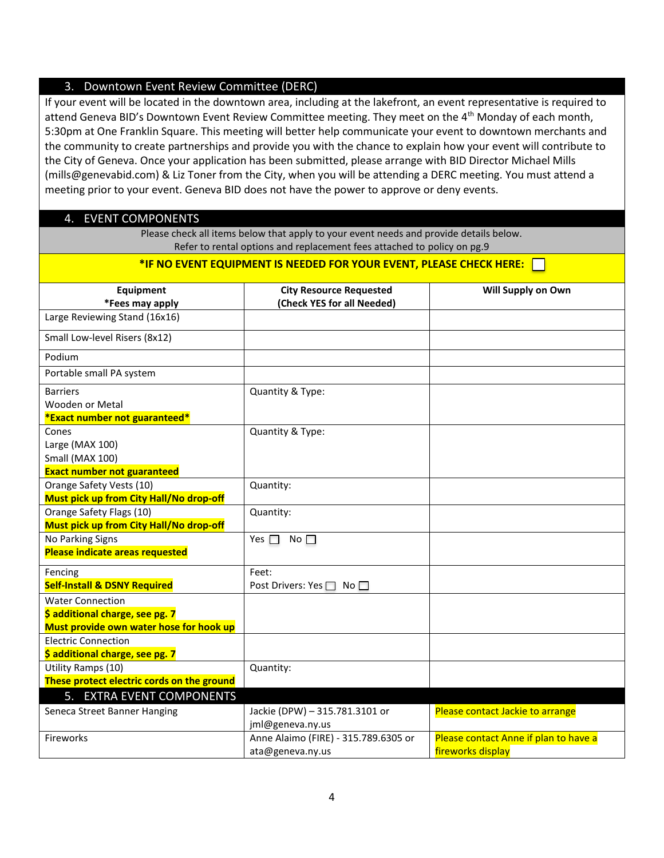## 3. Downtown Event Review Committee (DERC)

If your event will be located in the downtown area, including at the lakefront, an event representative is required to attend Geneva BID's Downtown Event Review Committee meeting. They meet on the 4<sup>th</sup> Monday of each month, 5:30pm at One Franklin Square. This meeting will better help communicate your event to downtown merchants and the community to create partnerships and provide you with the chance to explain how your event will contribute to the City of Geneva. Once your application has been submitted, please arrange with BID Director Michael Mills (mills@genevabid.com) & Liz Toner from the City, when you will be attending a DERC meeting. You must attend a meeting prior to your event. Geneva BID does not have the power to approve or deny events.

## 4. EVENT COMPONENTS

Please check all items below that apply to your event needs and provide details below. Refer to rental options and replacement fees attached to policy on pg.9

| *IF NO EVENT EQUIPMENT IS NEEDED FOR YOUR EVENT, PLEASE CHECK HERE:                                   |                                                              |                                       |  |  |
|-------------------------------------------------------------------------------------------------------|--------------------------------------------------------------|---------------------------------------|--|--|
| <b>Equipment</b><br>*Fees may apply                                                                   | <b>City Resource Requested</b><br>(Check YES for all Needed) | Will Supply on Own                    |  |  |
| Large Reviewing Stand (16x16)                                                                         |                                                              |                                       |  |  |
| Small Low-level Risers (8x12)                                                                         |                                                              |                                       |  |  |
| Podium                                                                                                |                                                              |                                       |  |  |
| Portable small PA system                                                                              |                                                              |                                       |  |  |
| <b>Barriers</b><br>Wooden or Metal<br>*Exact number not guaranteed*                                   | Quantity & Type:                                             |                                       |  |  |
| Cones<br>Large (MAX 100)<br>Small (MAX 100)<br><b>Exact number not guaranteed</b>                     | Quantity & Type:                                             |                                       |  |  |
| Orange Safety Vests (10)<br>Must pick up from City Hall/No drop-off                                   | Quantity:                                                    |                                       |  |  |
| Orange Safety Flags (10)<br>Must pick up from City Hall/No drop-off                                   | Quantity:                                                    |                                       |  |  |
| No Parking Signs<br><b>Please indicate areas requested</b>                                            | No $\square$<br>Yes $\Box$                                   |                                       |  |  |
| Fencing<br><b>Self-Install &amp; DSNY Required</b>                                                    | Feet:<br>Post Drivers: Yes $\Box$ No $\Box$                  |                                       |  |  |
| <b>Water Connection</b><br>\$ additional charge, see pg. 7<br>Must provide own water hose for hook up |                                                              |                                       |  |  |
| <b>Electric Connection</b><br>\$ additional charge, see pg. 7                                         |                                                              |                                       |  |  |
| Utility Ramps (10)<br>These protect electric cords on the ground                                      | Quantity:                                                    |                                       |  |  |
| 5. EXTRA EVENT COMPONENTS                                                                             |                                                              |                                       |  |  |
| Seneca Street Banner Hanging                                                                          | Jackie (DPW) - 315.781.3101 or<br>jml@geneva.ny.us           | Please contact Jackie to arrange      |  |  |
| Fireworks                                                                                             | Anne Alaimo (FIRE) - 315.789.6305 or                         | Please contact Anne if plan to have a |  |  |

fireworks display

ata@geneva.ny.us

Fireworks **Anne Alaimo (FIRE)** - 315.789.6305 or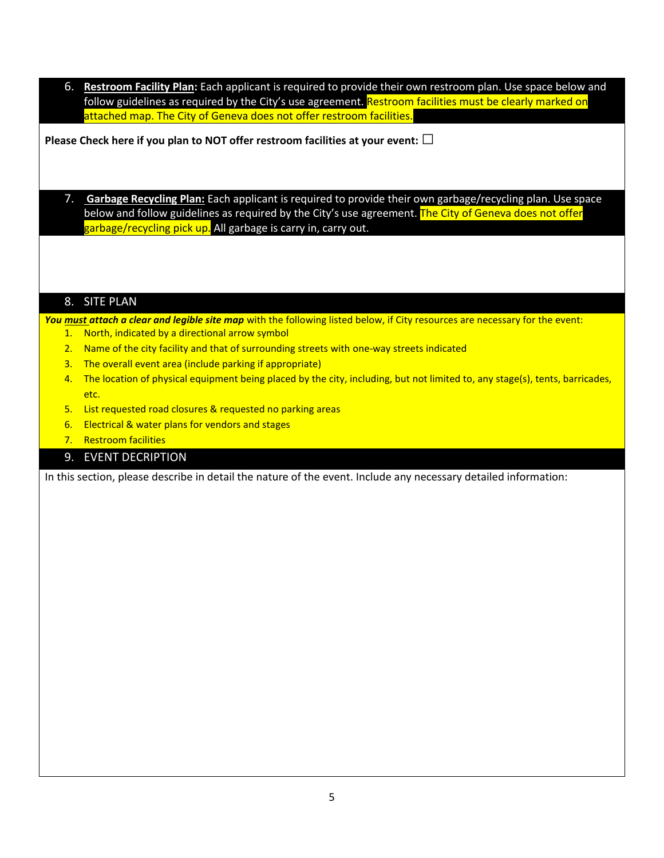6. **Restroom Facility Plan:** Each applicant is required to provide their own restroom plan. Use space below and follow guidelines as required by the City's use agreement. Restroom facilities must be clearly marked on attached map. The City of Geneva does not offer restroom facilities.

**Please Check here if you plan to NOT offer restroom facilities at your event:□**

7. **Garbage Recycling Plan:** Each applicant is required to provide their own garbage/recycling plan. Use space below and follow guidelines as required by the City's use agreement. The City of Geneva does not offer garbage/recycling pick up. All garbage is carry in, carry out.

## 8. SITE PLAN

You must attach a clear and legible site map with the following listed below, if City resources are necessary for the event: 1. North, indicated by a directional arrow symbol

- 2. Name of the city facility and that of surrounding streets with one-way streets indicated
- 3. The overall event area (include parking if appropriate)
- 4. The location of physical equipment being placed by the city, including, but not limited to, any stage(s), tents, barricades, etc.
- 5. List requested road closures & requested no parking areas
- 6. Electrical & water plans for vendors and stages
- 7. Restroom facilities

## 9. EVENT DECRIPTION

In this section, please describe in detail the nature of the event. Include any necessary detailed information: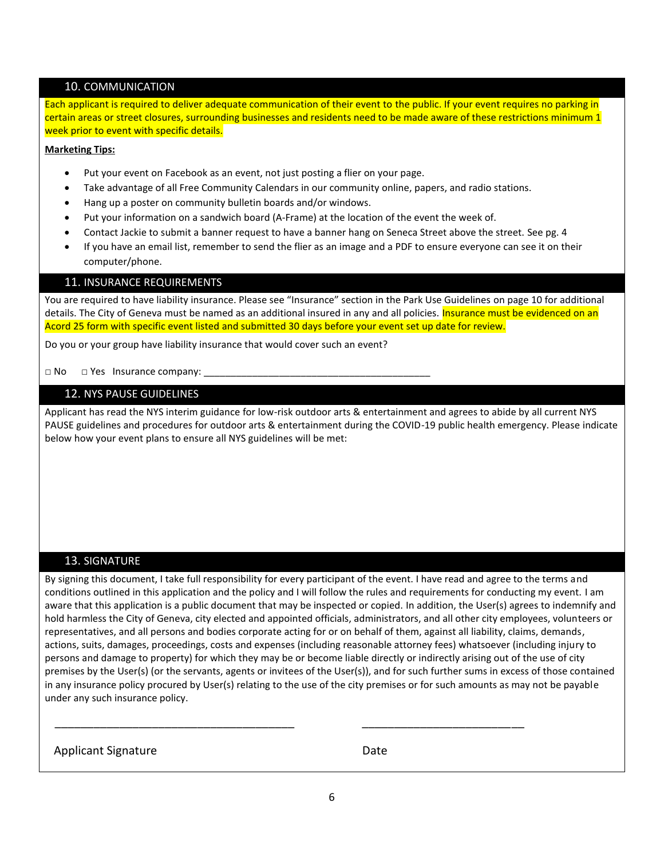## 10. COMMUNICATION

Each applicant is required to deliver adequate communication of their event to the public. If your event requires no parking in certain areas or street closures, surrounding businesses and residents need to be made aware of these restrictions minimum 1 week prior to event with specific details.

#### **Marketing Tips:**

- Put your event on Facebook as an event, not just posting a flier on your page.
- Take advantage of all Free Community Calendars in our community online, papers, and radio stations.
- Hang up a poster on community bulletin boards and/or windows.
- Put your information on a sandwich board (A-Frame) at the location of the event the week of.
- Contact Jackie to submit a banner request to have a banner hang on Seneca Street above the street. See pg. 4
- If you have an email list, remember to send the flier as an image and a PDF to ensure everyone can see it on their computer/phone.

#### 11. INSURANCE REQUIREMENTS

You are required to have liability insurance. Please see "Insurance" section in the Park Use Guidelines on page 10 for additional details. The City of Geneva must be named as an additional insured in any and all policies. Insurance must be evidenced on an Acord 25 form with specific event listed and submitted 30 days before your event set up date for review.

Do you or your group have liability insurance that would cover such an event?

 $\Box$  No  $\Box$  Yes Insurance company:

### 12. NYS PAUSE GUIDELINES

Applicant has read the NYS interim guidance for low-risk outdoor arts & entertainment and agrees to abide by all current NYS PAUSE guidelines and procedures for outdoor arts & entertainment during the COVID-19 public health emergency. Please indicate below how your event plans to ensure all NYS guidelines will be met:

## 13. SIGNATURE

By signing this document, I take full responsibility for every participant of the event. I have read and agree to the terms and conditions outlined in this application and the policy and I will follow the rules and requirements for conducting my event. I am aware that this application is a public document that may be inspected or copied. In addition, the User(s) agrees to indemnify and hold harmless the City of Geneva, city elected and appointed officials, administrators, and all other city employees, volunteers or representatives, and all persons and bodies corporate acting for or on behalf of them, against all liability, claims, demands, actions, suits, damages, proceedings, costs and expenses (including reasonable attorney fees) whatsoever (including injury to persons and damage to property) for which they may be or become liable directly or indirectly arising out of the use of city premises by the User(s) (or the servants, agents or invitees of the User(s)), and for such further sums in excess of those contained in any insurance policy procured by User(s) relating to the use of the city premises or for such amounts as may not be payable under any such insurance policy.

Applicant Signature Date

\_\_\_\_\_\_\_\_\_\_\_\_\_\_\_\_\_\_\_\_\_\_\_\_\_\_\_\_\_\_\_\_\_\_\_\_\_ \_\_\_\_\_\_\_\_\_\_\_\_\_\_\_\_\_\_\_\_\_\_\_\_\_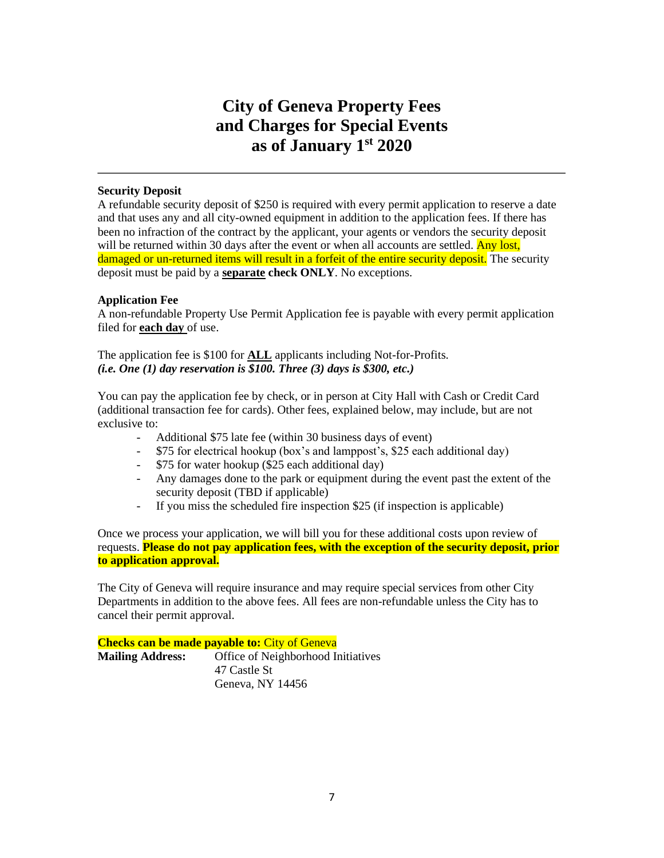## **City of Geneva Property Fees and Charges for Special Events as of January 1 st 2020**

## **Security Deposit**

A refundable security deposit of \$250 is required with every permit application to reserve a date and that uses any and all city-owned equipment in addition to the application fees. If there has been no infraction of the contract by the applicant, your agents or vendors the security deposit will be returned within 30 days after the event or when all accounts are settled. Any lost, damaged or un-returned items will result in a forfeit of the entire security deposit. The security deposit must be paid by a **separate check ONLY**. No exceptions.

## **Application Fee**

A non-refundable Property Use Permit Application fee is payable with every permit application filed for **each day** of use.

The application fee is \$100 for **ALL** applicants including Not-for-Profits. *(i.e. One (1) day reservation is \$100. Three (3) days is \$300, etc.)*

You can pay the application fee by check, or in person at City Hall with Cash or Credit Card (additional transaction fee for cards). Other fees, explained below, may include, but are not exclusive to:

- Additional \$75 late fee (within 30 business days of event)
- \$75 for electrical hookup (box's and lamppost's, \$25 each additional day)
- \$75 for water hookup (\$25 each additional day)
- Any damages done to the park or equipment during the event past the extent of the security deposit (TBD if applicable)
- If you miss the scheduled fire inspection \$25 (if inspection is applicable)

Once we process your application, we will bill you for these additional costs upon review of requests. **Please do not pay application fees, with the exception of the security deposit, prior to application approval.**

The City of Geneva will require insurance and may require special services from other City Departments in addition to the above fees. All fees are non-refundable unless the City has to cancel their permit approval.

**Checks can be made payable to:** City of Geneva **Mailing Address:** Office of Neighborhood Initiatives 47 Castle St Geneva, NY 14456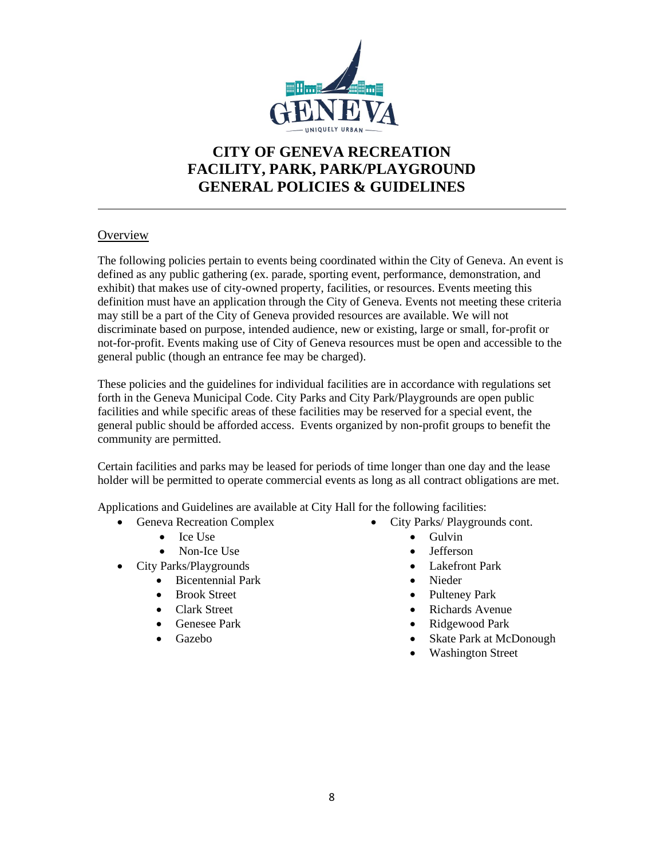

## **CITY OF GENEVA RECREATION FACILITY, PARK, PARK/PLAYGROUND GENERAL POLICIES & GUIDELINES**

## **Overview**

The following policies pertain to events being coordinated within the City of Geneva. An event is defined as any public gathering (ex. parade, sporting event, performance, demonstration, and exhibit) that makes use of city-owned property, facilities, or resources. Events meeting this definition must have an application through the City of Geneva. Events not meeting these criteria may still be a part of the City of Geneva provided resources are available. We will not discriminate based on purpose, intended audience, new or existing, large or small, for-profit or not-for-profit. Events making use of City of Geneva resources must be open and accessible to the general public (though an entrance fee may be charged).

These policies and the guidelines for individual facilities are in accordance with regulations set forth in the Geneva Municipal Code. City Parks and City Park/Playgrounds are open public facilities and while specific areas of these facilities may be reserved for a special event, the general public should be afforded access. Events organized by non-profit groups to benefit the community are permitted.

Certain facilities and parks may be leased for periods of time longer than one day and the lease holder will be permitted to operate commercial events as long as all contract obligations are met.

Applications and Guidelines are available at City Hall for the following facilities:

- Geneva Recreation Complex
	- Ice Use
	- Non-Ice Use
- City Parks/Playgrounds
	- Bicentennial Park
	- Brook Street
	- Clark Street
	- Genesee Park
	- Gazebo
- City Parks/ Playgrounds cont.
	- Gulvin
	- Jefferson
	- Lakefront Park
	- Nieder
	- Pulteney Park
	- Richards Avenue
	- Ridgewood Park
	- Skate Park at McDonough
	- Washington Street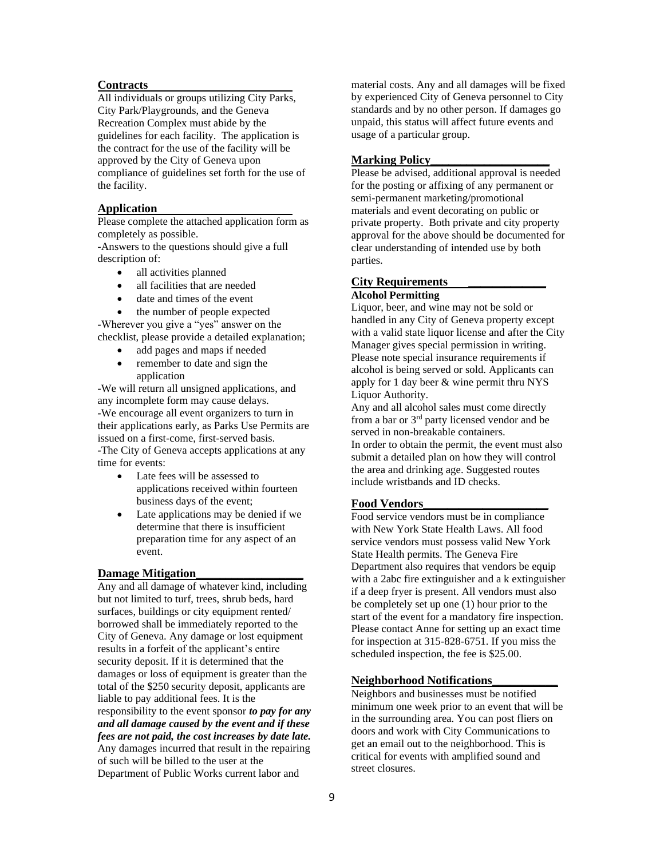#### **Contracts**

All individuals or groups utilizing City Parks, City Park/Playgrounds, and the Geneva Recreation Complex must abide by the guidelines for each facility. The application is the contract for the use of the facility will be approved by the City of Geneva upon compliance of guidelines set forth for the use of the facility.

#### **Application**

Please complete the attached application form as completely as possible.

*-*Answers to the questions should give a full description of:

- all activities planned
- all facilities that are needed
- date and times of the event
- the number of people expected

*-*Wherever you give a "yes" answer on the checklist, please provide a detailed explanation;

- add pages and maps if needed
- remember to date and sign the application

*-*We will return all unsigned applications, and any incomplete form may cause delays. *-*We encourage all event organizers to turn in their applications early, as Parks Use Permits are issued on a first-come, first-served basis. *-*The City of Geneva accepts applications at any time for events:

- Late fees will be assessed to applications received within fourteen business days of the event;
- Late applications may be denied if we determine that there is insufficient preparation time for any aspect of an event.

#### **Damage Mitigation\_\_\_\_\_\_\_\_\_\_\_\_\_\_\_\_\_\_**

Any and all damage of whatever kind, including but not limited to turf, trees, shrub beds, hard surfaces, buildings or city equipment rented/ borrowed shall be immediately reported to the City of Geneva. Any damage or lost equipment results in a forfeit of the applicant's entire security deposit. If it is determined that the damages or loss of equipment is greater than the total of the \$250 security deposit, applicants are liable to pay additional fees. It is the responsibility to the event sponsor *to pay for any and all damage caused by the event and if these fees are not paid, the cost increases by date late.* Any damages incurred that result in the repairing of such will be billed to the user at the Department of Public Works current labor and

material costs. Any and all damages will be fixed by experienced City of Geneva personnel to City standards and by no other person. If damages go unpaid, this status will affect future events and usage of a particular group.

#### **Marking Policy**

Please be advised, additional approval is needed for the posting or affixing of any permanent or semi-permanent marketing/promotional materials and event decorating on public or private property. Both private and city property approval for the above should be documented for clear understanding of intended use by both parties.

#### **City Requirements \_\_\_\_\_\_\_\_\_\_\_\_\_**

#### **Alcohol Permitting**

Liquor, beer, and wine may not be sold or handled in any City of Geneva property except with a valid state liquor license and after the City Manager gives special permission in writing. Please note special insurance requirements if alcohol is being served or sold. Applicants can apply for 1 day beer & wine permit thru NYS Liquor Authority.

Any and all alcohol sales must come directly from a bar or 3rd party licensed vendor and be served in non-breakable containers. In order to obtain the permit, the event must also

submit a detailed plan on how they will control the area and drinking age. Suggested routes include wristbands and ID checks.

#### **Food Vendors\_\_\_\_\_\_\_\_\_\_\_\_\_\_\_\_\_\_\_\_\_**

Food service vendors must be in compliance with New York State Health Laws. All food service vendors must possess valid New York State Health permits. The Geneva Fire Department also requires that vendors be equip with a 2abc fire extinguisher and a k extinguisher if a deep fryer is present. All vendors must also be completely set up one (1) hour prior to the start of the event for a mandatory fire inspection. Please contact Anne for setting up an exact time for inspection at 315-828-6751. If you miss the scheduled inspection, the fee is \$25.00.

#### **Neighborhood Notifications\_\_\_\_\_\_\_\_\_\_\_**

Neighbors and businesses must be notified minimum one week prior to an event that will be in the surrounding area. You can post fliers on doors and work with City Communications to get an email out to the neighborhood. This is critical for events with amplified sound and street closures.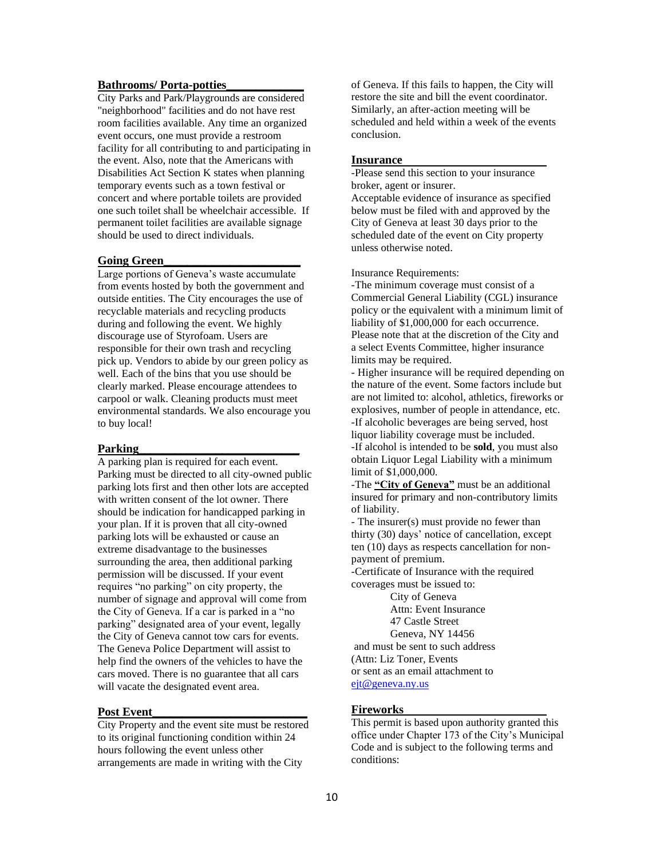#### **Bathrooms/ Porta-potties\_\_\_\_\_\_\_\_\_\_\_\_\_**

City Parks and Park/Playgrounds are considered "neighborhood" facilities and do not have rest room facilities available. Any time an organized event occurs, one must provide a restroom facility for all contributing to and participating in the event. Also, note that the Americans with Disabilities Act Section K states when planning temporary events such as a town festival or concert and where portable toilets are provided one such toilet shall be wheelchair accessible. If permanent toilet facilities are available signage should be used to direct individuals.

## **Going Green\_\_\_\_\_\_\_\_\_\_\_\_\_\_\_\_\_\_\_\_\_\_\_**

Large portions of Geneva's waste accumulate from events hosted by both the government and outside entities. The City encourages the use of recyclable materials and recycling products during and following the event. We highly discourage use of Styrofoam. Users are responsible for their own trash and recycling pick up. Vendors to abide by our green policy as well. Each of the bins that you use should be clearly marked. Please encourage attendees to carpool or walk. Cleaning products must meet environmental standards. We also encourage you to buy local!

#### **Parking\_\_\_\_\_\_\_\_\_\_\_\_\_\_\_\_\_\_\_\_\_\_\_\_\_\_\_**

A parking plan is required for each event. Parking must be directed to all city-owned public parking lots first and then other lots are accepted with written consent of the lot owner. There should be indication for handicapped parking in your plan. If it is proven that all city-owned parking lots will be exhausted or cause an extreme disadvantage to the businesses surrounding the area, then additional parking permission will be discussed. If your event requires "no parking" on city property, the number of signage and approval will come from the City of Geneva. If a car is parked in a "no parking" designated area of your event, legally the City of Geneva cannot tow cars for events. The Geneva Police Department will assist to help find the owners of the vehicles to have the cars moved. There is no guarantee that all cars will vacate the designated event area.

#### **Post Event\_\_\_\_\_\_\_\_\_\_\_\_\_\_\_\_\_\_\_\_\_\_\_\_\_\_**

City Property and the event site must be restored to its original functioning condition within 24 hours following the event unless other arrangements are made in writing with the City

of Geneva. If this fails to happen, the City will restore the site and bill the event coordinator. Similarly, an after-action meeting will be scheduled and held within a week of the events conclusion.

#### **Insurance**

-Please send this section to your insurance broker, agent or insurer.

Acceptable evidence of insurance as specified below must be filed with and approved by the City of Geneva at least 30 days prior to the scheduled date of the event on City property unless otherwise noted.

Insurance Requirements:

-The minimum coverage must consist of a Commercial General Liability (CGL) insurance policy or the equivalent with a minimum limit of liability of \$1,000,000 for each occurrence. Please note that at the discretion of the City and a select Events Committee, higher insurance limits may be required.

- Higher insurance will be required depending on the nature of the event. Some factors include but are not limited to: alcohol, athletics, fireworks or explosives, number of people in attendance, etc. -If alcoholic beverages are being served, host liquor liability coverage must be included. -If alcohol is intended to be **sold**, you must also obtain Liquor Legal Liability with a minimum

limit of \$1,000,000. -The **"City of Geneva"** must be an additional

insured for primary and non-contributory limits of liability.

- The insurer(s) must provide no fewer than thirty (30) days' notice of cancellation, except ten (10) days as respects cancellation for nonpayment of premium.

-Certificate of Insurance with the required coverages must be issued to:

> City of Geneva Attn: Event Insurance 47 Castle Street

Geneva, NY 14456

and must be sent to such address

(Attn: Liz Toner, Events

or sent as an email attachment to [ejt@geneva.ny.us](mailto:ejt@geneva.ny.us)

## **Fireworks**

This permit is based upon authority granted this office under Chapter 173 of the City's Municipal Code and is subject to the following terms and conditions: